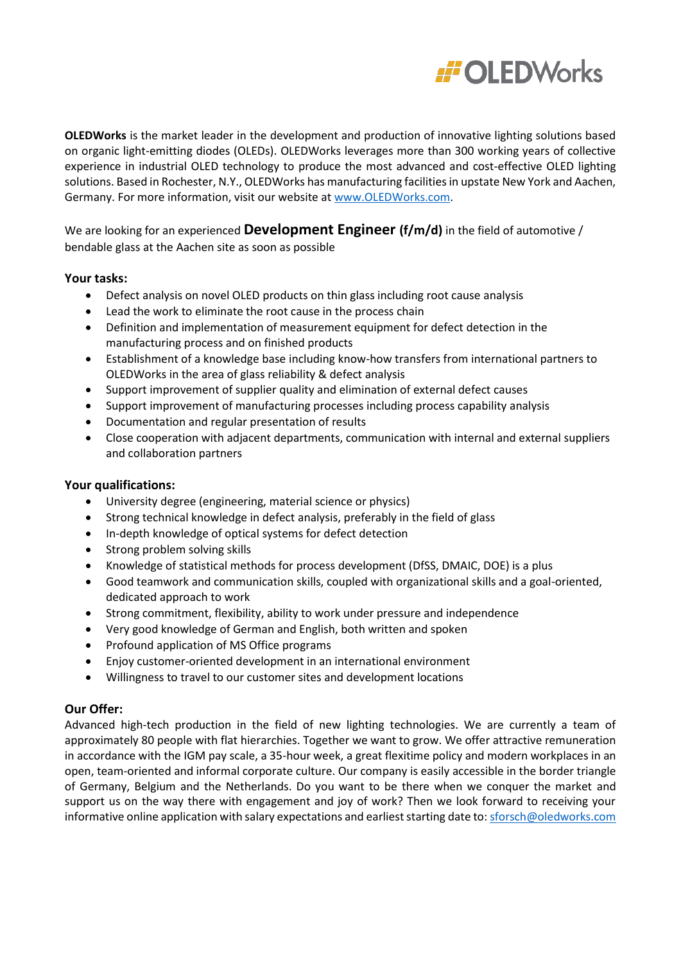

**OLEDWorks** is the market leader in the development and production of innovative lighting solutions based on organic light-emitting diodes (OLEDs). OLEDWorks leverages more than 300 working years of collective experience in industrial OLED technology to produce the most advanced and cost-effective OLED lighting solutions. Based in Rochester, N.Y., OLEDWorks has manufacturing facilities in upstate New York and Aachen, Germany. For more information, visit our website at [www.OLEDWorks.com.](http://www.oledworks.com/)

We are looking for an experienced **Development Engineer (f/m/d)** in the field of automotive / bendable glass at the Aachen site as soon as possible

## **Your tasks:**

- Defect analysis on novel OLED products on thin glass including root cause analysis
- Lead the work to eliminate the root cause in the process chain
- Definition and implementation of measurement equipment for defect detection in the manufacturing process and on finished products
- Establishment of a knowledge base including know-how transfers from international partners to OLEDWorks in the area of glass reliability & defect analysis
- Support improvement of supplier quality and elimination of external defect causes
- Support improvement of manufacturing processes including process capability analysis
- Documentation and regular presentation of results
- Close cooperation with adjacent departments, communication with internal and external suppliers and collaboration partners

### **Your qualifications:**

- University degree (engineering, material science or physics)
- Strong technical knowledge in defect analysis, preferably in the field of glass
- In-depth knowledge of optical systems for defect detection
- Strong problem solving skills
- Knowledge of statistical methods for process development (DfSS, DMAIC, DOE) is a plus
- Good teamwork and communication skills, coupled with organizational skills and a goal-oriented, dedicated approach to work
- Strong commitment, flexibility, ability to work under pressure and independence
- Very good knowledge of German and English, both written and spoken
- Profound application of MS Office programs
- Enjoy customer-oriented development in an international environment
- Willingness to travel to our customer sites and development locations

## **Our Offer:**

Advanced high-tech production in the field of new lighting technologies. We are currently a team of approximately 80 people with flat hierarchies. Together we want to grow. We offer attractive remuneration in accordance with the IGM pay scale, a 35-hour week, a great flexitime policy and modern workplaces in an open, team-oriented and informal corporate culture. Our company is easily accessible in the border triangle of Germany, Belgium and the Netherlands. Do you want to be there when we conquer the market and support us on the way there with engagement and joy of work? Then we look forward to receiving your informative online application with salary expectations and earliest starting date to[: sforsch@oledworks.com](mailto:sforsch@oledworks.com)